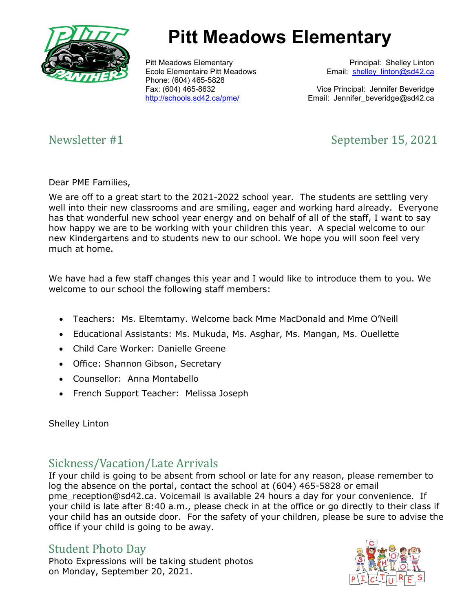

# **Pitt Meadows Elementary**

Pitt Meadows Elementary Ecole Elementaire Pitt Meadows Phone: (604) 465-5828 Fax: (604) 465-8632 <http://schools.sd42.ca/pme/>

 Principal: Shelley Linton Email: shelley linton@sd42.ca

Vice Principal: Jennifer Beveridge Email: Jennifer\_beveridge@sd42.ca

# Newsletter #1 September 15, 2021

Dear PME Families,

We are off to a great start to the 2021-2022 school year. The students are settling very well into their new classrooms and are smiling, eager and working hard already. Everyone has that wonderful new school year energy and on behalf of all of the staff, I want to say how happy we are to be working with your children this year. A special welcome to our new Kindergartens and to students new to our school. We hope you will soon feel very much at home.

We have had a few staff changes this year and I would like to introduce them to you. We welcome to our school the following staff members:

- Teachers: Ms. Eltemtamy. Welcome back Mme MacDonald and Mme O'Neill
- Educational Assistants: Ms. Mukuda, Ms. Asghar, Ms. Mangan, Ms. Ouellette
- Child Care Worker: Danielle Greene
- Office: Shannon Gibson, Secretary
- Counsellor: Anna Montabello
- French Support Teacher: Melissa Joseph

### Shelley Linton

# Sickness/Vacation/Late Arrivals

If your child is going to be absent from school or late for any reason, please remember to log the absence on the portal, contact the school at (604) 465-5828 or email pme reception@sd42.ca. Voicemail is available 24 hours a day for your convenience. If your child is late after 8:40 a.m., please check in at the office or go directly to their class if your child has an outside door. For the safety of your children, please be sure to advise the office if your child is going to be away.

# Student Photo Day

Photo Expressions will be taking student photos on Monday, September 20, 2021.

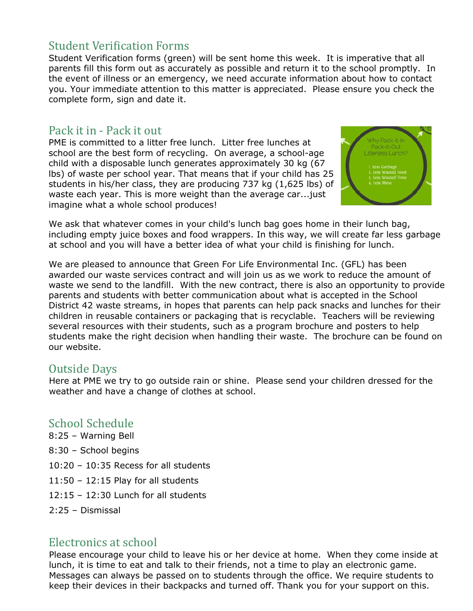# **Student Verification Forms**

Student Verification forms (green) will be sent home this week. It is imperative that all parents fill this form out as accurately as possible and return it to the school promptly. In the event of illness or an emergency, we need accurate information about how to contact you. Your immediate attention to this matter is appreciated. Please ensure you check the complete form, sign and date it.

### Pack it in - Pack it out

PME is committed to a litter free lunch. Litter free lunches at school are the best form of recycling. On average, a school-age child with a disposable lunch generates approximately 30 kg (67 lbs) of waste per school year. That means that if your child has 25 students in his/her class, they are producing 737 kg (1,625 lbs) of waste each year. This is more weight than the average car...just imagine what a whole school produces!



We ask that whatever comes in your child's lunch bag goes home in their lunch bag, including empty juice boxes and food wrappers. In this way, we will create far less garbage at school and you will have a better idea of what your child is finishing for lunch.

We are pleased to announce that Green For Life Environmental Inc. (GFL) has been awarded our waste services contract and will join us as we work to reduce the amount of waste we send to the landfill. With the new contract, there is also an opportunity to provide parents and students with better communication about what is accepted in the School District 42 waste streams, in hopes that parents can help pack snacks and lunches for their children in reusable containers or packaging that is recyclable. Teachers will be reviewing several resources with their students, such as a program brochure and posters to help students make the right decision when handling their waste. The brochure can be found on our website.

### Outside Days

Here at PME we try to go outside rain or shine. Please send your children dressed for the weather and have a change of clothes at school.

# School Schedule

8:25 – Warning Bell

- 8:30 School begins
- 10:20 10:35 Recess for all students
- 11:50 12:15 Play for all students
- 12:15 12:30 Lunch for all students
- 2:25 Dismissal

# Electronics at school

Please encourage your child to leave his or her device at home. When they come inside at lunch, it is time to eat and talk to their friends, not a time to play an electronic game. Messages can always be passed on to students through the office. We require students to keep their devices in their backpacks and turned off. Thank you for your support on this.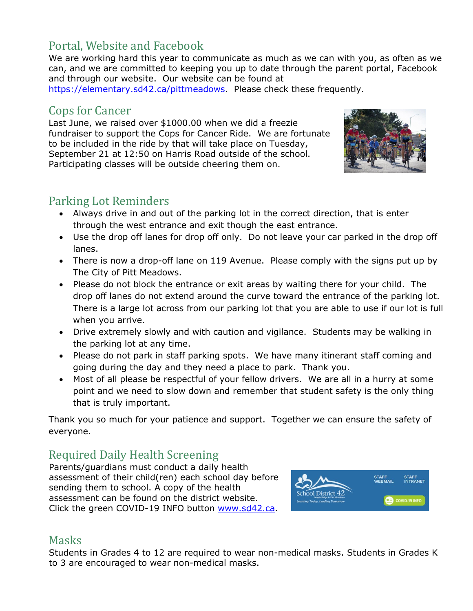# Portal, Website and Facebook

We are working hard this year to communicate as much as we can with you, as often as we can, and we are committed to keeping you up to date through the parent portal, Facebook and through our website. Our website can be found at

[https://elementary.sd42.ca/pittmeadows.](https://elementary.sd42.ca/pittmeadows) Please check these frequently.

# Cops for Cancer

Last June, we raised over \$1000.00 when we did a freezie fundraiser to support the Cops for Cancer Ride. We are fortunate to be included in the ride by that will take place on Tuesday, September 21 at 12:50 on Harris Road outside of the school. Participating classes will be outside cheering them on.



# Parking Lot Reminders

- Always drive in and out of the parking lot in the correct direction, that is enter through the west entrance and exit though the east entrance.
- Use the drop off lanes for drop off only. Do not leave your car parked in the drop off lanes.
- There is now a drop-off lane on 119 Avenue. Please comply with the signs put up by The City of Pitt Meadows.
- Please do not block the entrance or exit areas by waiting there for your child. The drop off lanes do not extend around the curve toward the entrance of the parking lot. There is a large lot across from our parking lot that you are able to use if our lot is full when you arrive.
- Drive extremely slowly and with caution and vigilance. Students may be walking in the parking lot at any time.
- Please do not park in staff parking spots. We have many itinerant staff coming and going during the day and they need a place to park. Thank you.
- Most of all please be respectful of your fellow drivers. We are all in a hurry at some point and we need to slow down and remember that student safety is the only thing that is truly important.

Thank you so much for your patience and support. Together we can ensure the safety of everyone.

# Required Daily Health Screening

Parents/guardians must conduct a daily health assessment of their child(ren) each school day before sending them to school. A copy of the health assessment can be found on the district website. Click the green COVID-19 INFO button [www.sd42.ca.](http://www.sd42.ca/)



# **Masks**

Students in Grades 4 to 12 are required to wear non-medical masks. Students in Grades K to 3 are encouraged to wear non-medical masks.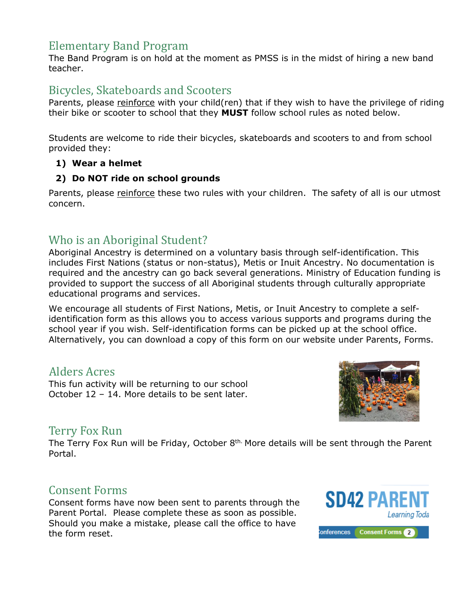# Elementary Band Program

The Band Program is on hold at the moment as PMSS is in the midst of hiring a new band teacher.

# Bicycles, Skateboards and Scooters

Parents, please reinforce with your child(ren) that if they wish to have the privilege of riding their bike or scooter to school that they **MUST** follow school rules as noted below.

Students are welcome to ride their bicycles, skateboards and scooters to and from school provided they:

### **1) Wear a helmet**

#### **2) Do NOT ride on school grounds**

Parents, please reinforce these two rules with your children. The safety of all is our utmost concern.

# Who is an Aboriginal Student?

Aboriginal Ancestry is determined on a voluntary basis through self-identification. This includes First Nations (status or non-status), Metis or Inuit Ancestry. No documentation is required and the ancestry can go back several generations. Ministry of Education funding is provided to support the success of all Aboriginal students through culturally appropriate educational programs and services.

We encourage all students of First Nations, Metis, or Inuit Ancestry to complete a selfidentification form as this allows you to access various supports and programs during the school year if you wish. Self-identification forms can be picked up at the school office. Alternatively, you can download a copy of this form on our website under Parents, Forms.

### Alders Acres

This fun activity will be returning to our school October 12 – 14. More details to be sent later.



### Terry Fox Run

The Terry Fox Run will be Friday, October  $8<sup>th</sup>$  More details will be sent through the Parent Portal.

### Consent Forms

Consent forms have now been sent to parents through the Parent Portal. Please complete these as soon as possible. Should you make a mistake, please call the office to have the form reset.

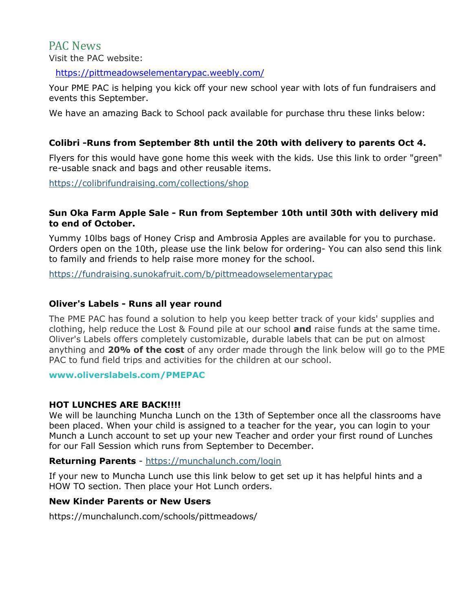PAC News Visit the PAC website:

<https://pittmeadowselementarypac.weebly.com/>

Your PME PAC is helping you kick off your new school year with lots of fun fundraisers and events this September.

We have an amazing Back to School pack available for purchase thru these links below:

#### **Colibri -Runs from September 8th until the 20th with delivery to parents Oct 4.**

Flyers for this would have gone home this week with the kids. Use this link to order "green" re-usable snack and bags and other reusable items.

<https://colibrifundraising.com/collections/shop>

#### **Sun Oka Farm Apple Sale - Run from September 10th until 30th with delivery mid to end of October.**

Yummy 10lbs bags of Honey Crisp and Ambrosia Apples are available for you to purchase. Orders open on the 10th, please use the link below for ordering- You can also send this link to family and friends to help raise more money for the school.

<https://fundraising.sunokafruit.com/b/pittmeadowselementarypac>

#### **Oliver's Labels - Runs all year round**

The PME PAC has found a solution to help you keep better track of your kids' supplies and clothing, help reduce the Lost & Found pile at our school **and** raise funds at the same time. Oliver's Labels offers completely customizable, durable labels that can be put on almost anything and **20% of the cost** of any order made through the link below will go to the PME PAC to fund field trips and activities for the children at our school.

**[www.oliverslabels.com/PMEPAC](http://www.oliverslabels.com/PMEPAC)**

#### **HOT LUNCHES ARE BACK!!!!**

We will be launching Muncha Lunch on the 13th of September once all the classrooms have been placed. When your child is assigned to a teacher for the year, you can login to your Munch a Lunch account to set up your new Teacher and order your first round of Lunches for our Fall Session which runs from September to December.

#### **Returning Parents** - <https://munchalunch.com/login>

If your new to Muncha Lunch use this link below to get set up it has helpful hints and a HOW TO section. Then place your Hot Lunch orders.

#### **New Kinder Parents or New Users**

https://munchalunch.com/schools/pittmeadows/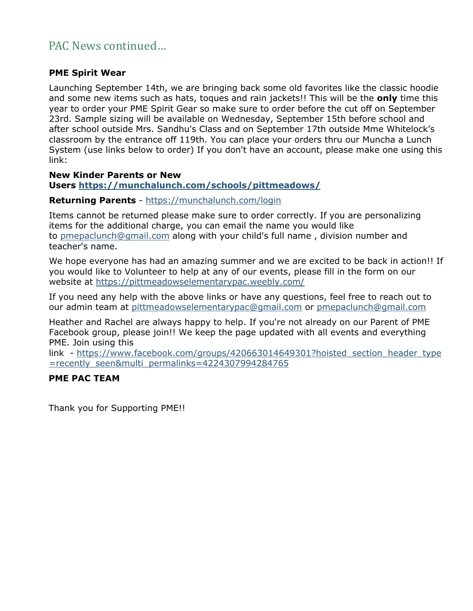# PAC News continued…

#### **PME Spirit Wear**

Launching September 14th, we are bringing back some old favorites like the classic hoodie and some new items such as hats, toques and rain jackets!! This will be the **only** time this year to order your PME Spirit Gear so make sure to order before the cut off on September 23rd. Sample sizing will be available on Wednesday, September 15th before school and after school outside Mrs. Sandhu's Class and on September 17th outside Mme Whitelock's classroom by the entrance off 119th. You can place your orders thru our Muncha a Lunch System (use links below to order) If you don't have an account, please make one using this link:

#### **New Kinder Parents or New**

#### **Users [https://munchalunch.com/schools/pittmeadows/](https://pittmeadowselementarypac.weebly.com/hot-lunches.html)**

#### **Returning Parents** - <https://munchalunch.com/login>

Items cannot be returned please make sure to order correctly. If you are personalizing items for the additional charge, you can email the name you would like to [pmepaclunch@gmail.com](mailto:pmepaclunch@gmail.com) along with your child's full name , division number and teacher's name.

We hope everyone has had an amazing summer and we are excited to be back in action!! If you would like to Volunteer to help at any of our events, please fill in the form on our website at <https://pittmeadowselementarypac.weebly.com/>

If you need any help with the above links or have any questions, feel free to reach out to our admin team at [pittmeadowselementarypac@gmail.com](mailto:pittmeadowselementarypac@gmail.com) or [pmepaclunch@gmail.com](mailto:pmepaclunch@gmail.com)

Heather and Rachel are always happy to help. If you're not already on our Parent of PME Facebook group, please join!! We keep the page updated with all events and everything PME. Join using this

link - [https://www.facebook.com/groups/420663014649301?hoisted\\_section\\_header\\_type](https://www.facebook.com/groups/420663014649301?hoisted_section_header_type=recently_seen&multi_permalinks=4224307994284765) [=recently\\_seen&multi\\_permalinks=4224307994284765](https://www.facebook.com/groups/420663014649301?hoisted_section_header_type=recently_seen&multi_permalinks=4224307994284765)

#### **PME PAC TEAM**

Thank you for Supporting PME!!